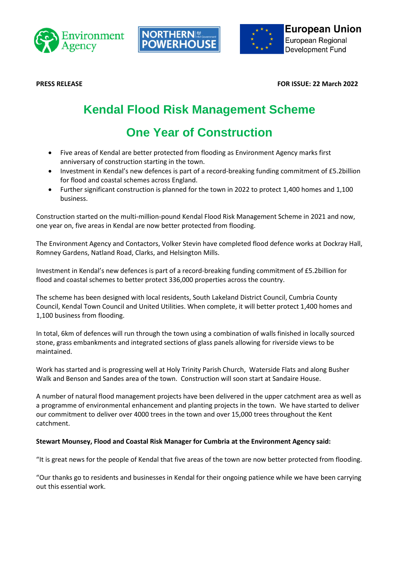





**PRESS RELEASE FOR ISSUE: 22 March 2022**

# **Kendal Flood Risk Management Scheme**

# **One Year of Construction**

- Five areas of Kendal are better protected from flooding as Environment Agency marks first anniversary of construction starting in the town.
- Investment in Kendal's new defences is part of a record-breaking funding commitment of £5.2billion for flood and coastal schemes across England.
- Further significant construction is planned for the town in 2022 to protect 1,400 homes and 1,100 business.

Construction started on the multi-million-pound Kendal Flood Risk Management Scheme in 2021 and now, one year on, five areas in Kendal are now better protected from flooding.

The Environment Agency and Contactors, Volker Stevin have completed flood defence works at Dockray Hall, Romney Gardens, Natland Road, Clarks, and Helsington Mills.

Investment in Kendal's new defences is part of a record-breaking funding commitment of £5.2billion for flood and coastal schemes to better protect 336,000 properties across the country.

The scheme has been designed with local residents, South Lakeland District Council, Cumbria County Council, Kendal Town Council and United Utilities. When complete, it will better protect 1,400 homes and 1,100 business from flooding.

In total, 6km of defences will run through the town using a combination of walls finished in locally sourced stone, grass embankments and integrated sections of glass panels allowing for riverside views to be maintained.

Work has started and is progressing well at Holy Trinity Parish Church, Waterside Flats and along Busher Walk and Benson and Sandes area of the town. Construction will soon start at Sandaire House.

A number of natural flood management projects have been delivered in the upper catchment area as well as a programme of environmental enhancement and planting projects in the town. We have started to deliver our commitment to deliver over 4000 trees in the town and over 15,000 trees throughout the Kent catchment.

# **Stewart Mounsey, Flood and Coastal Risk Manager for Cumbria at the Environment Agency said:**

"It is great news for the people of Kendal that five areas of the town are now better protected from flooding.

"Our thanks go to residents and businesses in Kendal for their ongoing patience while we have been carrying out this essential work.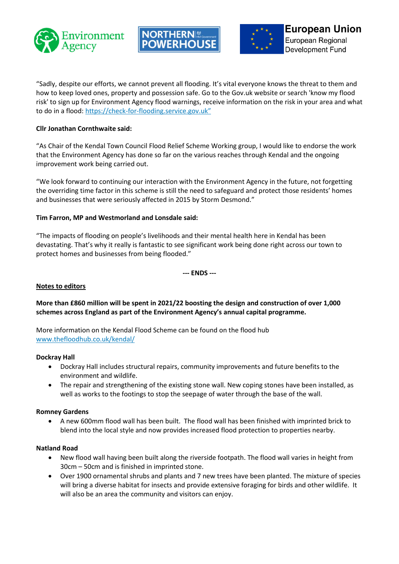





"Sadly, despite our efforts, we cannot prevent all flooding. It's vital everyone knows the threat to them and how to keep loved ones, property and possession safe. Go to the Gov.uk website or search 'know my flood risk' to sign up for Environment Agency flood warnings, receive information on the risk in your area and what to do in a flood: [https://check-for-flooding.service.gov.uk](https://eur03.safelinks.protection.outlook.com/?url=https%3A%2F%2Fcheck-for-flooding.service.gov.uk%2F&data=04%7C01%7Ckaty.barton%40environment-agency.gov.uk%7C0d0000b9806844e774d008d99e0d39a8%7C770a245002274c6290c74e38537f1102%7C0%7C0%7C637714601898064748%7CUnknown%7CTWFpbGZsb3d8eyJWIjoiMC4wLjAwMDAiLCJQIjoiV2luMzIiLCJBTiI6Ik1haWwiLCJXVCI6Mn0%3D%7C1000&sdata=7JEJwCEIj6pxViVH%2BFcnQLqy7uPyBB2KTOqWXVnLa%2FY%3D&reserved=0)"

# **Cllr Jonathan Cornthwaite said:**

"As Chair of the Kendal Town Council Flood Relief Scheme Working group, I would like to endorse the work that the Environment Agency has done so far on the various reaches through Kendal and the ongoing improvement work being carried out.

"We look forward to continuing our interaction with the Environment Agency in the future, not forgetting the overriding time factor in this scheme is still the need to safeguard and protect those residents' homes and businesses that were seriously affected in 2015 by Storm Desmond."

# **Tim Farron, MP and Westmorland and Lonsdale said:**

"The impacts of flooding on people's livelihoods and their mental health here in Kendal has been devastating. That's why it really is fantastic to see significant work being done right across our town to protect homes and businesses from being flooded."

**--- ENDS ---**

# **Notes to editors**

# **More than £860 million will be spent in 2021/22 boosting the design and construction of over 1,000 schemes across England as part of the Environment Agency's annual capital programme.**

More information on the Kendal Flood Scheme can be found on the flood hub [www.thefloodhub.co.uk/kendal/](https://eur03.safelinks.protection.outlook.com/?url=http%3A%2F%2Fwww.thefloodhub.co.uk%2Fkendal%2F&data=04%7C01%7CAngela.Rogers%40environment-agency.gov.uk%7C0e170e931ca149554b3508d9e17913f8%7C770a245002274c6290c74e38537f1102%7C0%7C0%7C637788732409147137%7CUnknown%7CTWFpbGZsb3d8eyJWIjoiMC4wLjAwMDAiLCJQIjoiV2luMzIiLCJBTiI6Ik1haWwiLCJXVCI6Mn0%3D%7C3000&sdata=J1mffIKYtAx17PigQTvubg%2BgXcanCmQwVixp78TmxW4%3D&reserved=0)

# **Dockray Hall**

- Dockray Hall includes structural repairs, community improvements and future benefits to the environment and wildlife.
- The repair and strengthening of the existing stone wall. New coping stones have been installed, as well as works to the footings to stop the seepage of water through the base of the wall.

#### **Romney Gardens**

• A new 600mm flood wall has been built.  The flood wall has been finished with imprinted brick to blend into the local style and now provides increased flood protection to properties nearby. 

#### **Natland Road**

- New flood wall having been built along the riverside footpath. The flood wall varies in height from 30cm – 50cm and is finished in imprinted stone.
- Over 1900 ornamental shrubs and plants and 7 new trees have been planted. The mixture of species will bring a diverse habitat for insects and provide extensive foraging for birds and other wildlife.  It will also be an area the community and visitors can enjoy.